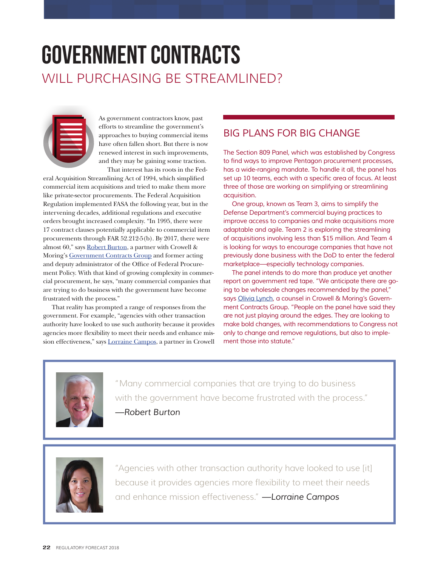## government contracts WILL PURCHASING BE STREAMLINED?



As government contractors know, past efforts to streamline the government's approaches to buying commercial items have often fallen short. But there is now renewed interest in such improvements, and they may be gaining some traction. That interest has its roots in the Fed-

eral Acquisition Streamlining Act of 1994, which simplified commercial item acquisitions and tried to make them more like private-sector procurements. The Federal Acquisition Regulation implemented FASA the following year, but in the intervening decades, additional regulations and executive orders brought increased complexity. "In 1995, there were 17 contract clauses potentially applicable to commercial item procurements through FAR 52.212-5(b). By 2017, there were almost 60," says [Robert Burton,](https://www.crowell.com/Professionals/Robert-Burton) a partner with Crowell & Moring's [Government Contracts Group](https://www.crowell.com/Practices/Government-Contracts) and former acting and deputy administrator of the Office of Federal Procurement Policy. With that kind of growing complexity in commercial procurement, he says, "many commercial companies that are trying to do business with the government have become frustrated with the process."

That reality has prompted a range of responses from the government. For example, "agencies with other transaction authority have looked to use such authority because it provides agencies more flexibility to meet their needs and enhance mission effectiveness," says [Lorraine Campos](https://www.crowell.com/Professionals/Lorraine-Campos), a partner in Crowell

## *BIG PLANS FOR BIG CHANGE*

*The Section 809 Panel, which was established by Congress*  to find ways to improve Pentagon procurement processes, has a wide-ranging mandate. To handle it all, the panel has set up 10 teams, each with a specific area of focus. At least three of those are working on simplifying or streamlining acquisition.

One group, known as Team 3, aims to simplify the Defense Department's commercial buying practices to improve access to companies and make acquisitions more adaptable and agile. Team 2 is exploring the streamlining of acquisitions involving less than \$15 million. And Team 4 is looking for ways to encourage companies that have not previously done business with the DoD to enter the federal marketplace—especially technology companies.

The panel intends to do more than produce yet another report on government red tape. "We anticipate there are going to be wholesale changes recommended by the panel," *says* [Olivia Lynch](https://www.crowell.com/Professionals/olivia-lynch), a counsel in Crowell & Moring's Government Contracts Group. "People on the panel have said they are not just playing around the edges. They are looking to make bold changes, with recommendations to Congress not only to change and remove regulations, but also to implement those into statute."



"Many commercial companies that are trying to do business with the government have become frustrated with the process." *—Robert Burton*



"Agencies with other transaction authority have looked to use [it] because it provides agencies more flexibility to meet their needs and enhance mission effectiveness." *—Lorraine Campos*